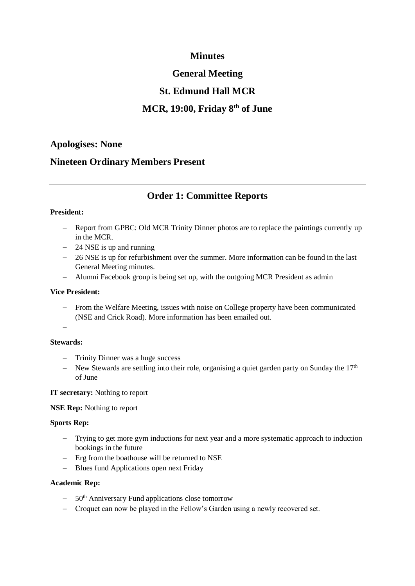# **Minutes**

# **General Meeting**

# **St. Edmund Hall MCR**

# **MCR, 19:00, Friday 8th of June**

## **Apologises: None**

## **Nineteen Ordinary Members Present**

## **Order 1: Committee Reports**

### **President:**

- − Report from GPBC: Old MCR Trinity Dinner photos are to replace the paintings currently up in the MCR.
- − 24 NSE is up and running
- − 26 NSE is up for refurbishment over the summer. More information can be found in the last General Meeting minutes.
- − Alumni Facebook group is being set up, with the outgoing MCR President as admin

#### **Vice President:**

- − From the Welfare Meeting, issues with noise on College property have been communicated (NSE and Crick Road). More information has been emailed out.
- −

### **Stewards:**

- − Trinity Dinner was a huge success
- − New Stewards are settling into their role, organising a quiet garden party on Sunday the 17<sup>th</sup> of June

### **IT secretary:** Nothing to report

#### **NSE Rep:** Nothing to report

#### **Sports Rep:**

- − Trying to get more gym inductions for next year and a more systematic approach to induction bookings in the future
- − Erg from the boathouse will be returned to NSE
- − Blues fund Applications open next Friday

#### **Academic Rep:**

- − 50th Anniversary Fund applications close tomorrow
- − Croquet can now be played in the Fellow's Garden using a newly recovered set.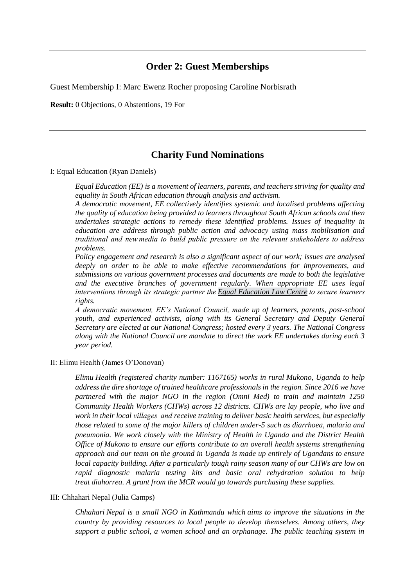## **Order 2: Guest Memberships**

Guest Membership I: Marc Ewenz Rocher proposing Caroline Norbisrath

**Result:** 0 Objections, 0 Abstentions, 19 For

## **Charity Fund Nominations**

I: Equal Education (Ryan Daniels)

*Equal Education (EE) is a movement of learners, parents, and teachers striving for quality and equality in South African education through analysis and activism.*

*A democratic movement, EE collectively identifies systemic and localised problems affecting the quality of education being provided to learners throughout South African schools and then undertakes strategic actions to remedy these identified problems. Issues of inequality in education are address through public action and advocacy using mass mobilisation and traditional and new media to build public pressure on the relevant stakeholders to address problems.*

*Policy engagement and research is also a significant aspect of our work; issues are analysed deeply on order to be able to make effective recommendations for improvements, and submissions on various government processes and documents are made to both the legislative and the executive branches of government regularly. When appropriate EE uses legal interventions through its strategic partner the Equal Education Law Centre to secure learners rights.*

*A democratic movement, EE's National Council, made up of learners, parents, post-school youth, and experienced activists, along with its General Secretary and Deputy General Secretary are elected at our National Congress; hosted every 3 years. The National Congress along with the National Council are mandate to direct the work EE undertakes during each 3 year period.*

#### II: Elimu Health (James O'Donovan)

*Elimu Health (registered charity number: 1167165) works in rural Mukono, Uganda to help address the dire shortage of trained healthcare professionals in the region. Since 2016 we have partnered with the major NGO in the region (Omni Med) to train and maintain 1250 Community Health Workers (CHWs) across 12 districts. CHWs are lay people, who live and work in their local villages  and receive training to deliver basic health services, but especially those related to some of the major killers of children under-5 such as diarrhoea, malaria and pneumonia. We work closely with the Ministry of Health in Uganda and the District Health Office of Mukono to ensure our efforts contribute to an overall health systems strengthening approach and our team on the ground in Uganda is made up entirely of Ugandans to ensure local capacity building. After a particularly tough rainy season many of our CHWs are low on rapid diagnostic malaria testing kits and basic oral rehydration solution to help treat diahorrea. A grant from the MCR would go towards purchasing these supplies.*

#### III: Chhahari Nepal (Julia Camps)

*Chhahari Nepal is a small NGO in Kathmandu which aims to improve the situations in the country by providing resources to local people to develop themselves. Among others, they support a public school, a women school and an orphanage. The public teaching system in*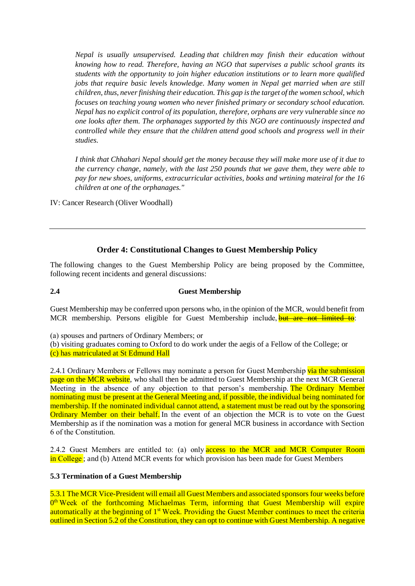*Nepal is usually unsupervised. Leading that children may finish their education without knowing how to read. Therefore, having an NGO that supervises a public school grants its students with the opportunity to join higher education institutions or to learn more qualified jobs that require basic levels knowledge. Many women in Nepal get married when are still children, thus, never finishing their education. This gap is the target of the women school, which focuses on teaching young women who never finished primary or secondary school education. Nepal has no explicit control of its population, therefore, orphans are very vulnerable since no one looks after them. The orphanages supported by this NGO are continuously inspected and controlled while they ensure that the children attend good schools and progress well in their studies.*

*I think that Chhahari Nepal should get the money because they will make more use of it due to the currency change, namely, with the last 250 pounds that we gave them, they were able to pay for new shoes, uniforms, extracurricular activities, books and wrtining mateiral for the 16 children at one of the orphanages."*

IV: Cancer Research (Oliver Woodhall)

### **Order 4: Constitutional Changes to Guest Membership Policy**

The following changes to the Guest Membership Policy are being proposed by the Committee, following recent incidents and general discussions:

#### **2.4 Guest Membership**

Guest Membership may be conferred upon persons who, in the opinion of the MCR, would benefit from MCR membership. Persons eligible for Guest Membership include, but are not limited to:

(a) spouses and partners of Ordinary Members; or 

(b) visiting graduates coming to Oxford to do work under the aegis of a Fellow of the College; or

(c) has matriculated at St Edmund Hall

2.4.1 Ordinary Members or Fellows may nominate a person for Guest Membership via the submission page on the MCR website, who shall then be admitted to Guest Membership at the next MCR General Meeting in the absence of any objection to that person's membership. The Ordinary Member nominating must be present at the General Meeting and, if possible, the individual being nominated for membership. If the nominated individual cannot attend, a statement must be read out by the sponsoring Ordinary Member on their behalf. In the event of an objection the MCR is to vote on the Guest Membership as if the nomination was a motion for general MCR business in accordance with Section 6 of the Constitution. 

2.4.2 Guest Members are entitled to: (a) only **access to the MCR and MCR Computer Room** in College ; and (b) Attend MCR events for which provision has been made for Guest Members

#### **5.3 Termination of a Guest Membership**

5.3.1 The MCR Vice-President will email all Guest Members and associated sponsors four weeks before O<sup>th</sup> Week of the forthcoming Michaelmas Term, informing that Guest Membership will expire automatically at the beginning of 1<sup>st</sup> Week. Providing the Guest Member continues to meet the criteria outlined in Section 5.2 of the Constitution, they can opt to continue with Guest Membership. A negative